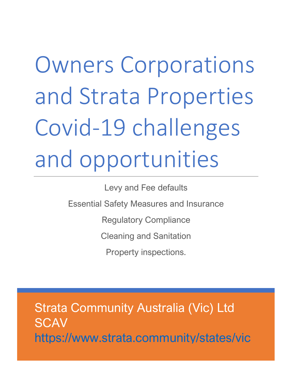# Owners Corporations and Strata Properties Covid-19 challenges and opportunities

Levy and Fee defaults

Essential Safety Measures and Insurance

Regulatory Compliance

Cleaning and Sanitation

Property inspections.

Strata Community Australia (Vic) Ltd **SCAV** <https://www.strata.community/states/vic>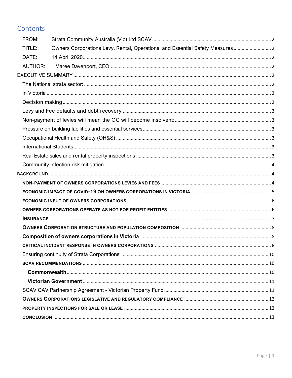# Contents

| FROM:          |                                                                               |  |  |
|----------------|-------------------------------------------------------------------------------|--|--|
| TITLE:         | Owners Corporations Levy, Rental, Operational and Essential Safety Measures 2 |  |  |
| DATE:          |                                                                               |  |  |
| <b>AUTHOR:</b> |                                                                               |  |  |
|                |                                                                               |  |  |
|                |                                                                               |  |  |
|                |                                                                               |  |  |
|                |                                                                               |  |  |
|                |                                                                               |  |  |
|                |                                                                               |  |  |
|                |                                                                               |  |  |
|                |                                                                               |  |  |
|                |                                                                               |  |  |
|                |                                                                               |  |  |
|                |                                                                               |  |  |
|                |                                                                               |  |  |
|                |                                                                               |  |  |
|                |                                                                               |  |  |
|                |                                                                               |  |  |
|                |                                                                               |  |  |
|                |                                                                               |  |  |
|                |                                                                               |  |  |
|                |                                                                               |  |  |
|                |                                                                               |  |  |
|                |                                                                               |  |  |
|                |                                                                               |  |  |
|                |                                                                               |  |  |
|                |                                                                               |  |  |
|                |                                                                               |  |  |
|                |                                                                               |  |  |
|                |                                                                               |  |  |
|                |                                                                               |  |  |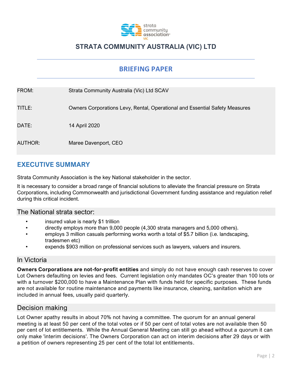

# **STRATA COMMUNITY AUSTRALIA (VIC) LTD**

# **BRIEFING PAPER**

<span id="page-2-2"></span><span id="page-2-1"></span><span id="page-2-0"></span>

| FROM:          | Strata Community Australia (Vic) Ltd SCAV                                   |
|----------------|-----------------------------------------------------------------------------|
| TITLE:         | Owners Corporations Levy, Rental, Operational and Essential Safety Measures |
| DATE:          | 14 April 2020                                                               |
| <b>AUTHOR:</b> | Maree Davenport, CEO                                                        |

# <span id="page-2-4"></span><span id="page-2-3"></span>**EXECUTIVE SUMMARY**

Strata Community Association is the key National stakeholder in the sector.

It is necessary to consider a broad range of financial solutions to alleviate the financial pressure on Strata Corporations, including Commonwealth and jurisdictional Government funding assistance and regulation relief during this critical incident.

## <span id="page-2-5"></span>The National strata sector:

- insured value is nearly \$1 trillion
- directly employs more than 9,000 people (4,300 strata managers and 5,000 others).
- employs 3 million casuals performing works worth a total of \$5.7 billion (i.e. landscaping, tradesmen etc)
- expends \$903 million on professional services such as lawyers, valuers and insurers.

## <span id="page-2-6"></span>In Victoria

**Owners Corporations are not-for-profit entities** and simply do not have enough cash reserves to cover Lot Owners defaulting on levies and fees. Current legislation only mandates OC's greater than 100 lots or with a turnover \$200,000 to have a Maintenance Plan with funds held for specific purposes. These funds are not available for routine maintenance and payments like insurance, cleaning, sanitation which are included in annual fees, usually paid quarterly.

## <span id="page-2-7"></span>Decision making

Lot Owner apathy results in about 70% not having a committee. The quorum for an annual general meeting is at least 50 per cent of the total votes or if 50 per cent of total votes are not available then 50 per cent of lot entitlements. While the Annual General Meeting can still go ahead without a quorum it can only make 'interim decisions'. The Owners Corporation can act on interim decisions after 29 days or with a petition of owners representing 25 per cent of the total lot entitlements.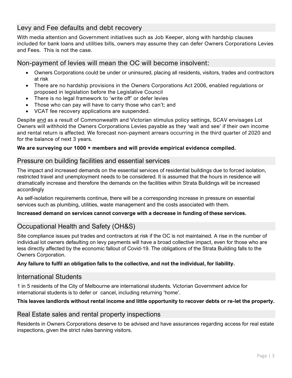# <span id="page-3-0"></span>Levy and Fee defaults and debt recovery

With media attention and Government initiatives such as Job Keeper, along with hardship clauses included for bank loans and utilities bills, owners may assume they can defer Owners Corporations Levies and Fees. This is not the case.

## <span id="page-3-1"></span>Non-payment of levies will mean the OC will become insolvent:

- Owners Corporations could be under or uninsured, placing all residents, visitors, trades and contractors at risk
- There are no hardship provisions in the Owners Corporations Act 2006, enabled regulations or proposed in legislation before the Legislative Council
- There is no legal framework to 'write off' or defer levies
- Those who can pay will have to carry those who can't; and
- VCAT fee recovery applications are suspended.

Despite and as a result of Commonwealth and Victorian stimulus policy settings, SCAV envisages Lot Owners will withhold the Owners Corporations Levies payable as they 'wait and see' if their own income and rental return is affected. We forecast non-payment arrears occurring in the third quarter of 2020 and for the balance of next 3 years.

#### **We are surveying our 1000 + members and will provide empirical evidence compiled.**

## <span id="page-3-2"></span>Pressure on building facilities and essential services

The impact and increased demands on the essential services of residential buildings due to forced isolation, restricted travel and unemployment needs to be considered. It is assumed that the hours in residence will dramatically increase and therefore the demands on the facilities within Strata Buildings will be increased accordingly

As self-isolation requirements continue, there will be a corresponding increase in pressure on essential services such as plumbing, utilities, waste management and the costs associated with them.

#### **Increased demand on services cannot converge with a decrease in funding of these services.**

# <span id="page-3-3"></span>Occupational Health and Safety (OH&S)

Site compliance issues put trades and contractors at risk if the OC is not maintained. A rise in the number of individual lot owners defaulting on levy payments will have a broad collective impact, even for those who are less directly affected by the economic fallout of Covid-19. The obligations of the Strata Building falls to the Owners Corporation.

#### **Any failure to fulfil an obligation falls to the collective, and not the individual, for liability.**

## <span id="page-3-4"></span>International Students

1 in 5 residents of the City of Melbourne are international students. Victorian Government advice for international students is to defer or cancel, including returning 'home'.

## **This leaves landlords without rental income and little opportunity to recover debts or re-let the property.**

## <span id="page-3-5"></span>Real Estate sales and rental property inspections

Residents in Owners Corporations deserve to be advised and have assurances regarding access for real estate inspections, given the strict rules banning visitors.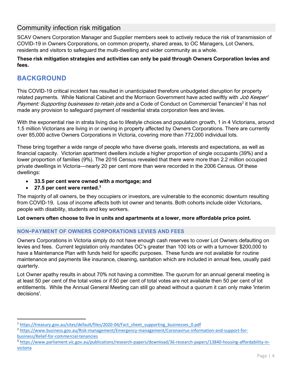# <span id="page-4-0"></span>Community infection risk mitigation

SCAV Owners Corporation Manager and Supplier members seek to actively reduce the risk of transmission of COVID-19 in Owners Corporations, on common property, shared areas, to OC Managers, Lot Owners, residents and visitors to safeguard the multi-dwelling and wider community as a whole.

**These risk mitigation strategies and activities can only be paid through Owners Corporation levies and fees.**

# <span id="page-4-1"></span>**BACKGROUND**

This COVID-19 critical incident has resulted in unanticipated therefore unbudgeted disruption for property related payments. While National Cabinet and the Morrison Government have acted swiftly with *Job Keeper<sup>1</sup>* Payment: Supporting businesses to retain jobs and a Code of Conduct on Commercial Tenancies<sup>2</sup> it has not made any provision to safeguard payment of residential strata corporation fees and levies.

With the exponential rise in strata living due to lifestyle choices and population growth, 1 in 4 Victorians, around 1.5 million Victorians are living in or owning in property affected by Owners Corporations. There are currently over 85,000 active Owners Corporations in Victoria, covering more than 772,000 individual lots.

These bring together a wide range of people who have diverse goals, interests and expectations, as well as financial capacity. Victorian apartment dwellers include a higher proportion of single occupants (39%) and a lower proportion of families (9%). The 2016 Census revealed that there were more than 2.2 million occupied private dwellings in Victoria—nearly 20 per cent more than were recorded in the 2006 Census. Of these dwellings:

- **33.5 per cent were owned with a mortgage; and**
- **27.5 per cent were rented.<sup>3</sup>**

The majority of all owners, be they occupiers or investors, are vulnerable to the economic downturn resulting from COVID-19. Loss of income affects both lot owner and tenants. Both cohorts include older Victorians, people with disability, students and key workers.

**Lot owners often choose to live in units and apartments at a lower, more affordable price point.**

## <span id="page-4-2"></span>**NON-PAYMENT OF OWNERS CORPORATIONS LEVIES AND FEES**

Owners Corporations in Victoria simply do not have enough cash reserves to cover Lot Owners defaulting on levies and fees. Current legislation only mandates OC's greater than 100 lots or with a turnover \$200,000 to have a Maintenance Plan with funds held for specific purposes. These funds are not available for routine maintenance and payments like insurance, cleaning, sanitation which are included in annual fees, usually paid quarterly.

Lot Owner apathy results in about 70% not having a committee. The quorum for an annual general meeting is at least 50 per cent of the total votes or if 50 per cent of total votes are not available then 50 per cent of lot entitlements. While the Annual General Meeting can still go ahead without a quorum it can only make 'interim decisions'.

<sup>1</sup> [https://treasury.gov.au/sites/default/files/2020-04/Fact\\_sheet\\_supporting\\_businesses\\_0.pdf](https://treasury.gov.au/sites/default/files/2020-04/Fact_sheet_supporting_businesses_0.pdf)

<sup>2</sup> [https://www.business.gov.au/Risk-management/Emergency-management/Coronavirus-information-and-support-for](https://www.business.gov.au/Risk-management/Emergency-management/Coronavirus-information-and-support-for-business/Relief-for-commercial-tenancies)[business/Relief-for-commercial-tenancies](https://www.business.gov.au/Risk-management/Emergency-management/Coronavirus-information-and-support-for-business/Relief-for-commercial-tenancies)

<sup>3</sup> [https://www.parliament.vic.gov.au/publications/research-papers/download/36-research-papers/13840-housing-affordability-in](https://www.parliament.vic.gov.au/publications/research-papers/download/36-research-papers/13840-housing-affordability-in-victoria)[victoria](https://www.parliament.vic.gov.au/publications/research-papers/download/36-research-papers/13840-housing-affordability-in-victoria)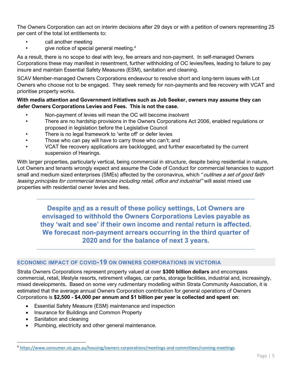The Owners Corporation can act on interim decisions after 29 days or with a petition of owners representing 25 per cent of the total lot entitlements to:

- call another meeting
- give notice of special general meeting.<sup>4</sup>

As a result, there is no scope to deal with levy, fee arrears and non-payment. In self-managed Owners Corporations these may manifest in resentment, further withholding of OC levies/fees, leading to failure to pay insure and maintain Essential Safety Measures (ESM), sanitation and cleaning.

SCAV Member-managed Owners Corporations endeavour to resolve short and long-term issues with Lot Owners who choose not to be engaged. They seek remedy for non-payments and fee recovery with VCAT and prioritise property works.

#### **With media attention and Government initiatives such as Job Seeker, owners may assume they can defer Owners Corporations Levies and Fees. This is not the case.**

- Non-payment of levies will mean the OC will become insolvent
- There are no hardship provisions in the Owners Corporations Act 2006, enabled regulations or proposed in legislation before the Legislative Council
- There is no legal framework to 'write off' or defer levies
- Those who can pay will have to carry those who can't; and
- VCAT fee recovery applications are backlogged, and further exacerbated by the current suspension of Hearings.

With larger properties, particularly vertical, being commercial in structure, despite being residential in nature, Lot Owners and tenants wrongly expect and assume the Code of Conduct for commercial tenancies to support small and medium sized enterprises (SMEs) affected by the coronavirus, which "*outlines a set of good faith* leasing principles for commercial tenancies including retail, office and industrial" will assist mixed use properties with residential owner levies and fees.

**Despite and as a result of these policy settings, Lot Owners are envisaged to withhold the Owners Corporations Levies payable as they 'wait and see' if their own income and rental return is affected. We forecast non-payment arrears occurring in the third quarter of 2020 and for the balance of next 3 years.** 

## <span id="page-5-0"></span>**ECONOMIC IMPACT OF COVID-19 ON OWNERS CORPORATIONS IN VICTORIA**

Strata Owners Corporations represent property valued at over **\$300 billion dollars** and encompass commercial, retail, lifestyle resorts, retirement villages, car parks, storage facilities, industrial and, increasingly, mixed developments**.** Based on some very rudimentary modelling within Strata Community Association, it is estimated that the average annual Owners Corporation contribution for general operations of Owners Corporations is **\$2,500 - \$4,000 per annum and \$1 billion per year is collected and spent on**:

- Essential Safety Measure (ESM) maintenance and inspection
- Insurance for Buildings and Common Property
- Sanitation and cleaning
- Plumbing, electricity and other general maintenance.

<sup>4</sup> <https://www.consumer.vic.gov.au/housing/owners-corporations/meetings-and-committees/running-meetings>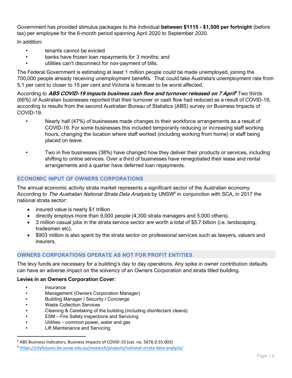Government has provided stimulus packages to the individual **between \$1115 - \$1,500 per fortnight** (before tax) per employee for the 6-month period spanning April 2020 to September 2020.

In addition:

- tenants cannot be evicted
- banks have frozen loan repayments for 3 months; and
- utilities can't disconnect for non-payment of bills.

The Federal Government is estimating at least 1 million people could be made unemployed, joining the 700,000 people already receiving unemployment benefits. That could take Australia's unemployment rate from 5.1 per cent to closer to 15 per cent and Victoria is forecast to be worst affected.

According to **ABS COVID-19 impacts business cash flow and turnover released on 7 April <sup>5</sup>** Two thirds (66%) of Australian businesses reported that their turnover or cash flow had reduced as a result of COVID-19, according to results from the second Australian Bureau of Statistics (ABS) survey on Business Impacts of COVID-19.

- Nearly half (47%) of businesses made changes to their workforce arrangements as a result of COVID-19. For some businesses this included temporarily reducing or increasing staff working hours, changing the location where staff worked (including working from home) or staff being placed on leave.
- Two in five businesses (38%) have changed how they deliver their products or services, including shifting to online services. Over a third of businesses have renegotiated their lease and rental arrangements and a quarter have deferred loan repayments.

## <span id="page-6-0"></span>**ECONOMIC INPUT OF OWNERS CORPORATIONS**

The annual economic activity strata market represents a significant sector of the Australian economy. According to *The Australian National Strata Data Analysis* by UNSW<sup>6</sup> in conjunction with SCA, in 2017 the national strata sector:

- insured value is nearly \$1 trillion
- directly employs more than 9,000 people (4,300 strata managers and 5,000 others).
- 3 million casual jobs in the strata service sector are worth a total of \$5.7 billion (i.e. landscaping, tradesmen etc).
- \$903 million is also spent by the strata sector on professional services such as lawyers, valuers and insurers.

## <span id="page-6-1"></span>**OWNERS CORPORATIONS OPERATE AS NOT FOR PROFIT ENTITIES**.

The levy funds are necessary for a building's day to day operations. Any spike in owner contribution defaults can have an adverse impact on the solvency of an Owners Corporation and strata titled building.

#### **Levies in an Owners Corporation Cover**:

- **Insurance**
- Management (Owners Corporation Manager)
- Building Manager / Security / Concierge
- Waste Collection Services
- Cleaning & Caretaking of the building (including disinfectant cleans)
- ESM Fire Safety Inspections and Servicing
- Utilities common power, water and gas
- Lift Maintenance and Servicing

<sup>&</sup>lt;sup>5</sup> ABS Business Indicators, Business Impacts of COVID-19 (cat. no. 5676.0.55.003)

<sup>6</sup> <https://cityfutures.be.unsw.edu.au/research/projects/national-strata-data-analysis/>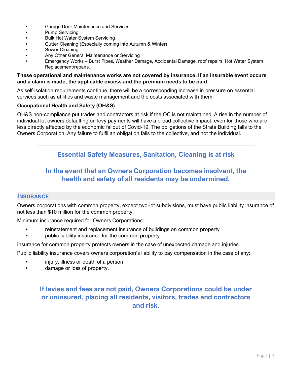- Garage Door Maintenance and Services
- Pump Servicing
- Bulk Hot Water System Servicing
- Gutter Cleaning (Especially coming into Autumn & Winter)
- Sewer Cleaning
- Any Other General Maintenance or Servicing
- Emergency Works Burst Pipes, Weather Damage, Accidental Damage, roof repairs, Hot Water System Replacement/repairs.

#### **These operational and maintenance works are not covered by insurance. If an insurable event occurs and a claim is made, the applicable excess and the premium needs to be paid.**

As self-isolation requirements continue, there will be a corresponding increase in pressure on essential services such as utilities and waste management and the costs associated with them.

#### **Occupational Health and Safety (OH&S)**

OH&S non-compliance put trades and contractors at risk if the OC is not maintained. A rise in the number of individual lot owners defaulting on levy payments will have a broad collective impact, even for those who are less directly affected by the economic fallout of Covid-19. The obligations of the Strata Building falls to the Owners Corporation. Any failure to fulfil an obligation falls to the collective, and not the individual.

## **Essential Safety Measures, Sanitation, Cleaning is at risk**

# **In the event that an Owners Corporation becomes insolvent, the health and safety of all residents may be undermined.**

#### <span id="page-7-0"></span>**INSURANCE**

Owners corporations with common property, except two-lot subdivisions, must have public liability insurance of not less than \$10 million for the common property.

Minimum insurance required for Owners Corporations:

- reinstatement and replacement insurance of buildings on common property
- public liability insurance for the common property.

Insurance for common property protects owners in the case of unexpected damage and injuries.

Public liability insurance covers owners corporation's liability to pay compensation in the case of any:

- injury, illness or death of a person
- damage or loss of property.

# **If levies and fees are not paid, Owners Corporations could be under or uninsured, placing all residents, visitors, trades and contractors and risk.**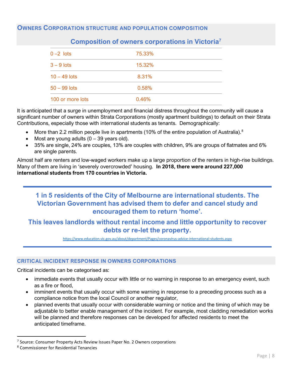## <span id="page-8-1"></span><span id="page-8-0"></span>**OWNERS CORPORATION STRUCTURE AND POPULATION COMPOSITION**

| $0 - 2$ lots     | 75.33% |  |
|------------------|--------|--|
| $3 - 9$ lots     | 15.32% |  |
| $10 - 49$ lots   | 8.31%  |  |
| $50 - 99$ lots   | 0.58%  |  |
| 100 or more lots | 0.46%  |  |

## **Composition of owners corporations in Victoria<sup>7</sup>**

It is anticipated that a surge in unemployment and financial distress throughout the community will cause a significant number of owners within Strata Corporations (mostly apartment buildings) to default on their Strata Contributions, especially those with international students as tenants. Demographically:

- More than 2.2 million people live in apartments (10% of the entire population of Australia).<sup>8</sup>
- Most are young adults  $(0 39$  years old).
- 35% are single, 24% are couples, 13% are couples with children, 9% are groups of flatmates and 6% are single parents.

Almost half are renters and low-waged workers make up a large proportion of the renters in high-rise buildings. Many of them are living in 'severely overcrowded' housing. **In 2018, there were around 227,000 international students from 170 countries in Victoria.** 

# **1 in 5 residents of the City of Melbourne are international students. The Victorian Government has advised them to defer and cancel study and encouraged them to return 'home'.**

## **This leaves landlords without rental income and little opportunity to recover debts or re-let the property.**

<https://www.education.vic.gov.au/about/department/Pages/coronavirus-advice-international-students.aspx>

#### <span id="page-8-2"></span>**CRITICAL INCIDENT RESPONSE IN OWNERS CORPORATIONS**

Critical incidents can be categorised as:

- immediate events that usually occur with little or no warning in response to an emergency event, such as a fire or flood,
- imminent events that usually occur with some warning in response to a preceding process such as a compliance notice from the local Council or another regulator,
- planned events that usually occur with considerable warning or notice and the timing of which may be adjustable to better enable management of the incident. For example, most cladding remediation works will be planned and therefore responses can be developed for affected residents to meet the anticipated timeframe.

<sup>&</sup>lt;sup>7</sup> Source: Consumer Property Acts Review Issues Paper No. 2 Owners corporations

<sup>8</sup> Commissioner for Residential Tenancies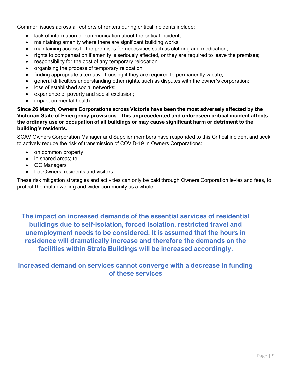Common issues across all cohorts of renters during critical incidents include:

- lack of information or communication about the critical incident;
- maintaining amenity where there are significant building works;
- maintaining access to the premises for necessities such as clothing and medication;
- rights to compensation if amenity is seriously affected, or they are required to leave the premises;
- responsibility for the cost of any temporary relocation;
- organising the process of temporary relocation;
- finding appropriate alternative housing if they are required to permanently vacate;
- general difficulties understanding other rights, such as disputes with the owner's corporation;
- loss of established social networks;
- experience of poverty and social exclusion;
- impact on mental health.

**Since 26 March, Owners Corporations across Victoria have been the most adversely affected by the Victorian State of Emergency provisions. This unprecedented and unforeseen critical incident affects the ordinary use or occupation of all buildings or may cause significant harm or detriment to the building's residents.**

SCAV Owners Corporation Manager and Supplier members have responded to this Critical incident and seek to actively reduce the risk of transmission of COVID-19 in Owners Corporations:

- on common property
- in shared areas: to
- OC Managers
- Lot Owners, residents and visitors.

These risk mitigation strategies and activities can only be paid through Owners Corporation levies and fees, to protect the multi-dwelling and wider community as a whole.

**The impact on increased demands of the essential services of residential buildings due to self-isolation, forced isolation, restricted travel and unemployment needs to be considered. It is assumed that the hours in residence will dramatically increase and therefore the demands on the facilities within Strata Buildings will be increased accordingly.** 

# **Increased demand on services cannot converge with a decrease in funding of these services**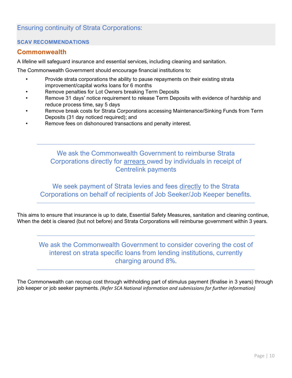# <span id="page-10-0"></span>Ensuring continuity of Strata Corporations:

## <span id="page-10-1"></span>**SCAV RECOMMENDATIONS**

## <span id="page-10-2"></span>**Commonwealth**

A lifeline will safeguard insurance and essential services, including cleaning and sanitation.

The Commonwealth Government should encourage financial institutions to:

- Provide strata corporations the ability to pause repayments on their existing strata improvement/capital works loans for 6 months
- Remove penalties for Lot Owners breaking Term Deposits
- Remove 31 days' notice requirement to release Term Deposits with evidence of hardship and reduce process time, say 5 days
- Remove break costs for Strata Corporations accessing Maintenance/Sinking Funds from Term Deposits (31 day noticed required); and
- Remove fees on dishonoured transactions and penalty interest.

# We ask the Commonwealth Government to reimburse Strata Corporations directly for arrears owed by individuals in receipt of Centrelink payments

We seek payment of Strata levies and fees directly to the Strata Corporations on behalf of recipients of Job Seeker/Job Keeper benefits.

This aims to ensure that insurance is up to date, Essential Safety Measures, sanitation and cleaning continue, When the debt is cleared (but not before) and Strata Corporations will reimburse government within 3 years.

# We ask the Commonwealth Government to consider covering the cost of interest on strata specific loans from lending institutions, currently charging around 8%.

The Commonwealth can recoup cost through withholding part of stimulus payment (finalise in 3 years) through job keeper or job seeker payments. *(Refer SCA National information and submissions for further information)*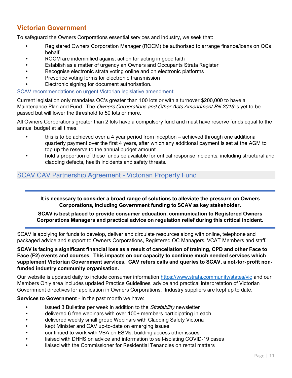# <span id="page-11-0"></span>**Victorian Government**

To safeguard the Owners Corporations essential services and industry, we seek that:

- Registered Owners Corporation Manager (ROCM) be authorised to arrange finance/loans on OCs behalf
- ROCM are indemnified against action for acting in good faith
- Establish as a matter of urgency an Owners and Occupants Strata Register
- Recognise electronic strata voting online and on electronic platforms
- Prescribe voting forms for electronic transmission
- Electronic signing for document authorisation.

SCAV recommendations on urgent Victorian legislative amendment:

Current legislation only mandates OC's greater than 100 lots or with a turnover \$200,000 to have a Maintenance Plan and Fund. The *Owners Corporations and Other Acts Amendment Bill 2019* is yet to be passed but will lower the threshold to 50 lots or more.

All Owners Corporations greater than 2 lots have a compulsory fund and must have reserve funds equal to the annual budget at all times.

- this is to be achieved over a 4 year period from inception achieved through one additional quarterly payment over the first 4 years, after which any additional payment is set at the AGM to top up the reserve to the annual budget amount
- hold a proportion of these funds be available for critical response incidents, including structural and cladding defects, health incidents and safety threats.

## <span id="page-11-1"></span>SCAV CAV Partnership Agreement - Victorian Property Fund

**It is necessary to consider a broad range of solutions to alleviate the pressure on Owners Corporations, including Government funding to SCAV as key stakeholder.**

#### **SCAV is best placed to provide consumer education, communication to Registered Owners Corporations Managers and practical advice on regulation relief during this critical incident.**

SCAV is applying for funds to develop, deliver and circulate resources along with online, telephone and packaged advice and support to Owners Corporations, Registered OC Managers, VCAT Members and staff.

**SCAV is facing a significant financial loss as a result of cancellation of training, CPD and other Face to Face (F2) events and courses. This impacts on our capacity to continue much needed services which supplement Victorian Government services. CAV refers calls and queries to SCAV, a not-for-profit nonfunded industry community organisation.**

Our website is updated daily to include consumer information<https://www.strata.community/states/vic> and our Members Only area includes updated Practice Guidelines, advice and practical interpretation of Victorian Government directives for application in Owners Corporations. Industry suppliers are kept up to date.

#### **Services to Government** - In the past month we have:

- issued 3 Bulletins per week in addition to the *Stratability* newsletter
- delivered 6 free webinars with over 100+ members participating in each
- delivered weekly small group Webinars with Cladding Safety Victoria
- kept Minister and CAV up-to-date on emerging issues
- continued to work with VBA on ESMs, building access other issues
- liaised with DHHS on advice and information to self-isolating COVID-19 cases
- liaised with the Commissioner for Residential Tenancies on rental matters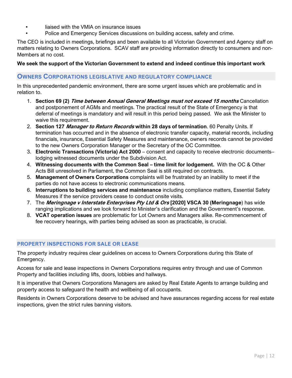- liaised with the VMIA on insurance issues
- Police and Emergency Services discussions on building access, safety and crime.

The CEO is included in meetings, briefings and been available to all Victorian Government and Agency staff on matters relating to Owners Corporations. SCAV staff are providing information directly to consumers and non-Members at no cost.

#### **We seek the support of the Victorian Government to extend and indeed continue this important work**

#### <span id="page-12-0"></span>**OWNERS CORPORATIONS LEGISLATIVE AND REGULATORY COMPLIANCE**

In this unprecedented pandemic environment, there are some urgent issues which are problematic and in relation to.

- 1. **Section 69 (2) Time between Annual General Meetings must not exceed 15 months** Cancellation and postponement of AGMs and meetings. The practical result of the State of Emergency is that deferral of meetings is mandatory and will result in this period being passed. We ask the Minister to waive this requirement.
- 2. **Section 127 Manager to Return Records within 28 days of termination**. 60 Penalty Units. If termination has occurred and in the absence of electronic transfer capacity, material records, including financials, insurance, Essential Safety Measures and maintenance, owners records cannot be provided to the new Owners Corporation Manager or the Secretary of the OC Committee.
- 3. **Electronic Transactions (Victoria) Act 2000**  consent and capacity to receive electronic documents– lodging witnessed documents under the Subdivision Act.
- 4. **Witnessing documents with the Common Seal – time limit for lodgement.** With the OC & Other Acts Bill unresolved in Parliament, the Common Seal is still required on contracts.
- 5. **Management of Owners Corporations** complaints will be frustrated by an inability to meet if the parties do not have access to electronic communications means.
- 6. **Interruptions to building services and maintenance** including compliance matters, Essential Safety Measures if the service providers cease to conduct onsite visits.
- 7. The **Meringnage v Interstate Enterprises Pty Ltd & Ors [2020] VSCA 30 (Meringnage**) has wide ranging implications and we look forward to Minister's clarification and the Government's response.
- 8. **VCAT operation issues** are problematic for Lot Owners and Managers alike. Re-commencement of fee recovery hearings, with parties being advised as soon as practicable, is crucial.

#### <span id="page-12-1"></span>**PROPERTY INSPECTIONS FOR SALE OR LEASE**

The property industry requires clear guidelines on access to Owners Corporations during this State of Emergency.

Access for sale and lease inspections in Owners Corporations requires entry through and use of Common Property and facilities including lifts, doors, lobbies and hallways.

It is imperative that Owners Corporations Managers are asked by Real Estate Agents to arrange building and property access to safeguard the health and wellbeing of all occupants.

Residents in Owners Corporations deserve to be advised and have assurances regarding access for real estate inspections, given the strict rules banning visitors.